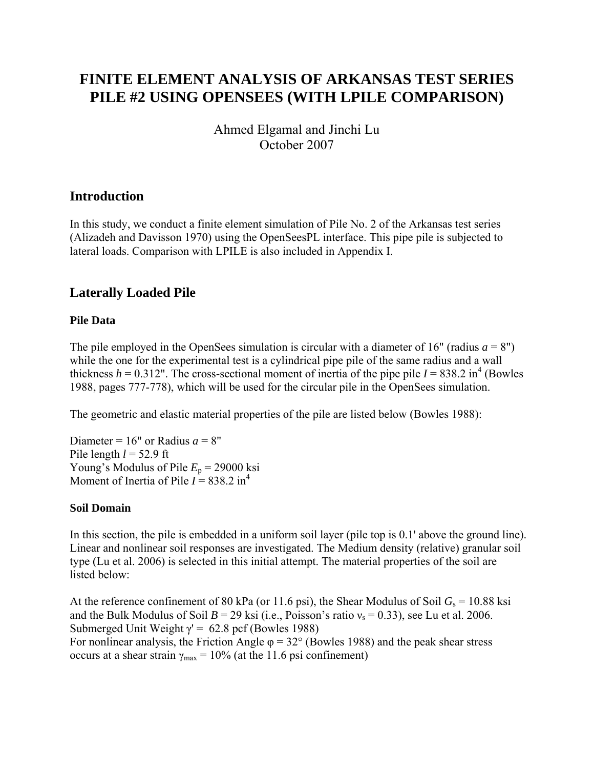# **FINITE ELEMENT ANALYSIS OF ARKANSAS TEST SERIES PILE #2 USING OPENSEES (WITH LPILE COMPARISON)**

Ahmed Elgamal and Jinchi Lu October 2007

# **Introduction**

In this study, we conduct a finite element simulation of Pile No. 2 of the Arkansas test series (Alizadeh and Davisson 1970) using the OpenSeesPL interface. This pipe pile is subjected to lateral loads. Comparison with LPILE is also included in Appendix I.

# **Laterally Loaded Pile**

#### **Pile Data**

The pile employed in the OpenSees simulation is circular with a diameter of 16" (radius  $a = 8$ ") while the one for the experimental test is a cylindrical pipe pile of the same radius and a wall thickness  $h = 0.312$ ". The cross-sectional moment of inertia of the pipe pile  $I = 838.2$  in<sup>4</sup> (Bowles 1988, pages 777-778), which will be used for the circular pile in the OpenSees simulation.

The geometric and elastic material properties of the pile are listed below (Bowles 1988):

Diameter =  $16"$  or Radius  $a = 8"$ Pile length  $l = 52.9$  ft Young's Modulus of Pile  $E_p$  = 29000 ksi Moment of Inertia of Pile  $I = 838.2 \text{ in}^4$ 

#### **Soil Domain**

In this section, the pile is embedded in a uniform soil layer (pile top is 0.1' above the ground line). Linear and nonlinear soil responses are investigated. The Medium density (relative) granular soil type (Lu et al. 2006) is selected in this initial attempt. The material properties of the soil are listed below:

At the reference confinement of 80 kPa (or 11.6 psi), the Shear Modulus of Soil  $G_s = 10.88$  ksi and the Bulk Modulus of Soil  $B = 29$  ksi (i.e., Poisson's ratio  $v_s = 0.33$ ), see Lu et al. 2006. Submerged Unit Weight  $\gamma$ <sup>'</sup> = 62.8 pcf (Bowles 1988) For nonlinear analysis, the Friction Angle  $\varphi = 32^{\circ}$  (Bowles 1988) and the peak shear stress occurs at a shear strain  $\gamma_{\text{max}} = 10\%$  (at the 11.6 psi confinement)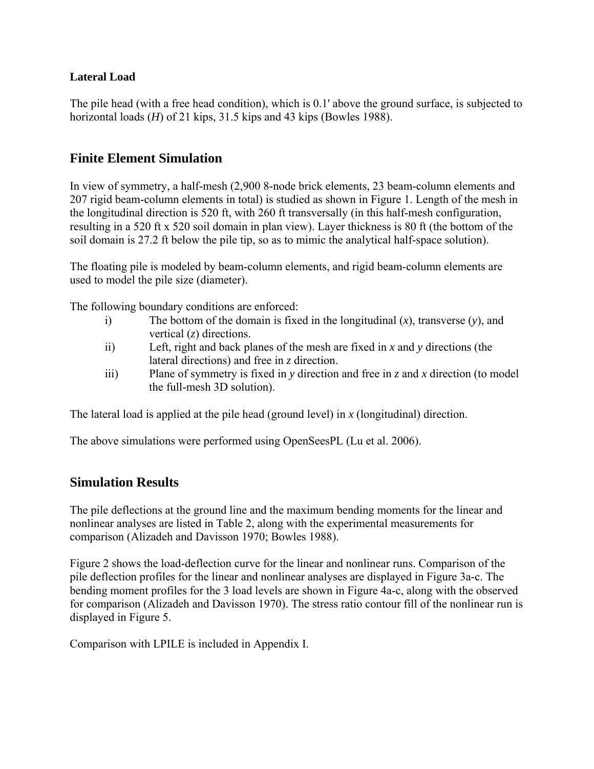#### **Lateral Load**

The pile head (with a free head condition), which is 0.1' above the ground surface, is subjected to horizontal loads (*H*) of 21 kips, 31.5 kips and 43 kips (Bowles 1988).

# **Finite Element Simulation**

In view of symmetry, a half-mesh (2,900 8-node brick elements, 23 beam-column elements and 207 rigid beam-column elements in total) is studied as shown in Figure 1. Length of the mesh in the longitudinal direction is 520 ft, with 260 ft transversally (in this half-mesh configuration, resulting in a 520 ft x 520 soil domain in plan view). Layer thickness is 80 ft (the bottom of the soil domain is 27.2 ft below the pile tip, so as to mimic the analytical half-space solution).

The floating pile is modeled by beam-column elements, and rigid beam-column elements are used to model the pile size (diameter).

The following boundary conditions are enforced:

- i) The bottom of the domain is fixed in the longitudinal (*x*), transverse (*y*), and vertical (*z*) directions.
- ii) Left, right and back planes of the mesh are fixed in *x* and *y* directions (the lateral directions) and free in *z* direction.
- iii) Plane of symmetry is fixed in *y* direction and free in *z* and *x* direction (to model the full-mesh 3D solution).

The lateral load is applied at the pile head (ground level) in *x* (longitudinal) direction.

The above simulations were performed using OpenSeesPL (Lu et al. 2006).

#### **Simulation Results**

The pile deflections at the ground line and the maximum bending moments for the linear and nonlinear analyses are listed in Table 2, along with the experimental measurements for comparison (Alizadeh and Davisson 1970; Bowles 1988).

Figure 2 shows the load-deflection curve for the linear and nonlinear runs. Comparison of the pile deflection profiles for the linear and nonlinear analyses are displayed in Figure 3a-c. The bending moment profiles for the 3 load levels are shown in Figure 4a-c, along with the observed for comparison (Alizadeh and Davisson 1970). The stress ratio contour fill of the nonlinear run is displayed in Figure 5.

Comparison with LPILE is included in Appendix I.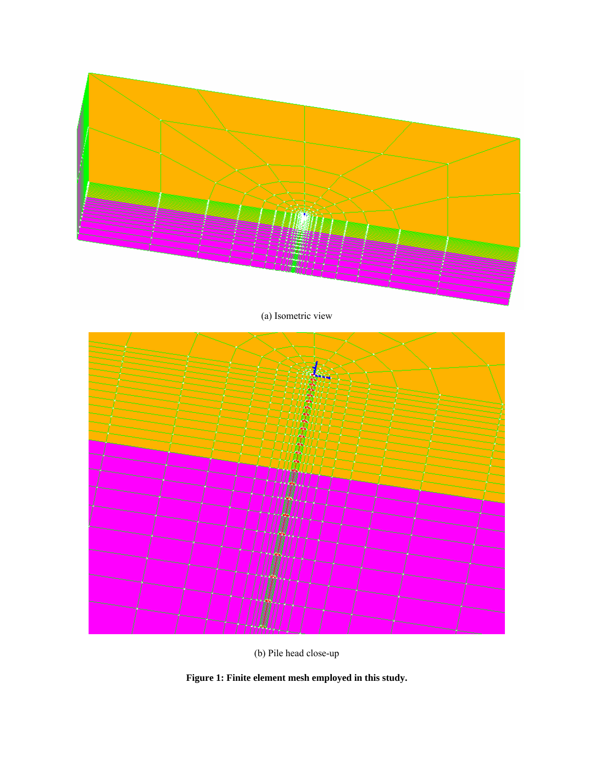



(b) Pile head close-up

**Figure 1: Finite element mesh employed in this study.**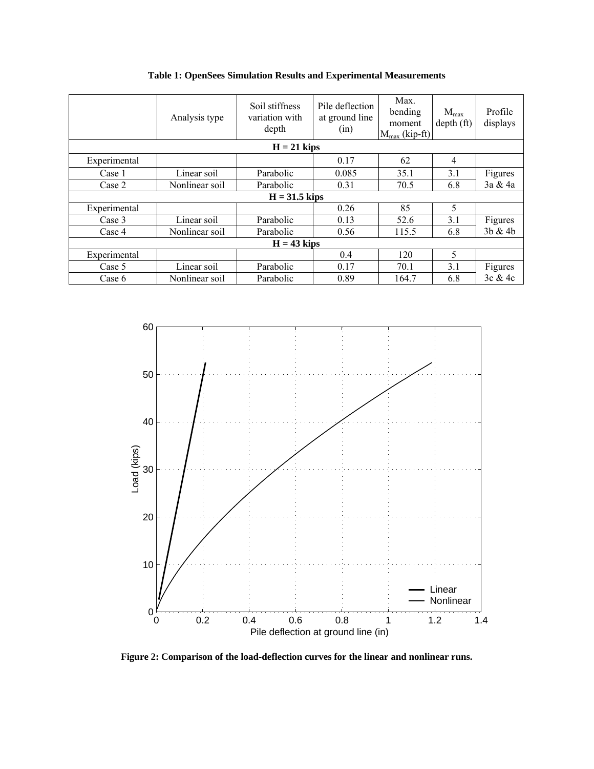|                 | Analysis type  | Soil stiffness<br>variation with<br>depth | Pile deflection<br>at ground line<br>(in) | Max.<br>bending<br>moment<br>$M_{max}$ (kip-ft) | $M_{\rm max}$<br>depth(f <sub>t</sub> ) | Profile<br>displays |
|-----------------|----------------|-------------------------------------------|-------------------------------------------|-------------------------------------------------|-----------------------------------------|---------------------|
| $H = 21$ kips   |                |                                           |                                           |                                                 |                                         |                     |
| Experimental    |                |                                           | 0.17                                      | 62                                              | 4                                       |                     |
| Case 1          | Linear soil    | Parabolic                                 | 0.085                                     | 35.1                                            | 3.1                                     | Figures             |
| Case 2          | Nonlinear soil | Parabolic                                 | 0.31                                      | 70.5                                            | 6.8                                     | 3a & 4a             |
| $H = 31.5$ kips |                |                                           |                                           |                                                 |                                         |                     |
| Experimental    |                |                                           | 0.26                                      | 85                                              | 5                                       |                     |
| Case 3          | Linear soil    | Parabolic                                 | 0.13                                      | 52.6                                            | 3.1                                     | Figures             |
| Case 4          | Nonlinear soil | Parabolic                                 | 0.56                                      | 115.5                                           | 6.8                                     | 3b & 4b             |
| $H = 43$ kips   |                |                                           |                                           |                                                 |                                         |                     |
| Experimental    |                |                                           | 0.4                                       | 120                                             | 5                                       |                     |
| Case 5          | Linear soil    | Parabolic                                 | 0.17                                      | 70.1                                            | 3.1                                     | Figures             |
| Case 6          | Nonlinear soil | Parabolic                                 | 0.89                                      | 164.7                                           | 6.8                                     | 3c & 4c             |

**Table 1: OpenSees Simulation Results and Experimental Measurements** 



**Figure 2: Comparison of the load-deflection curves for the linear and nonlinear runs.**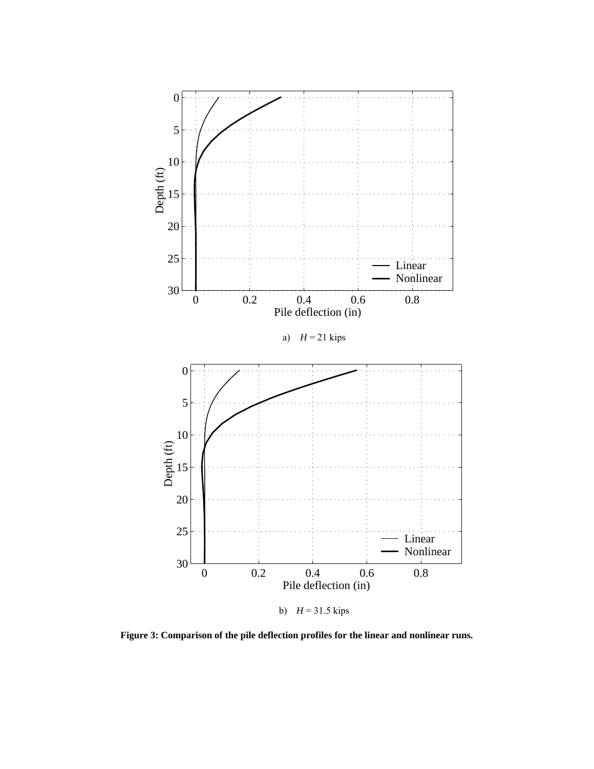

**Figure 3: Comparison of the pile deflection profiles for the linear and nonlinear runs.**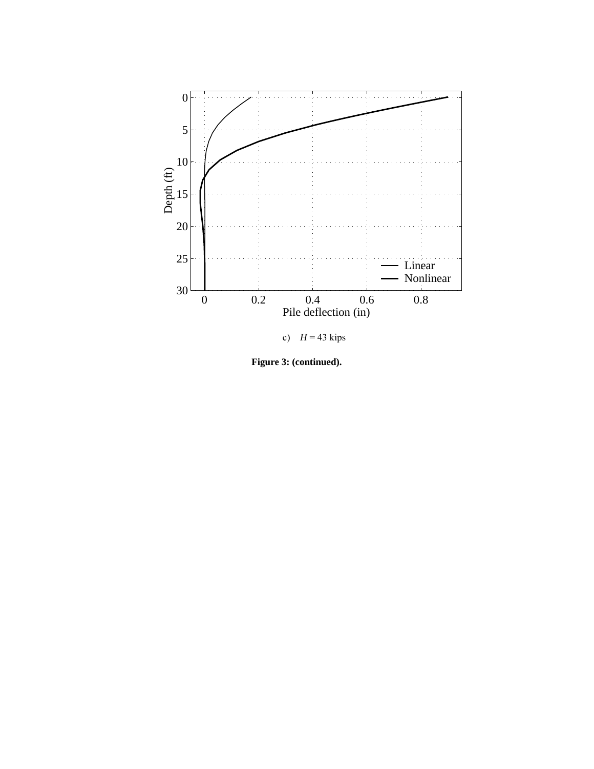

**Figure 3: (continued).**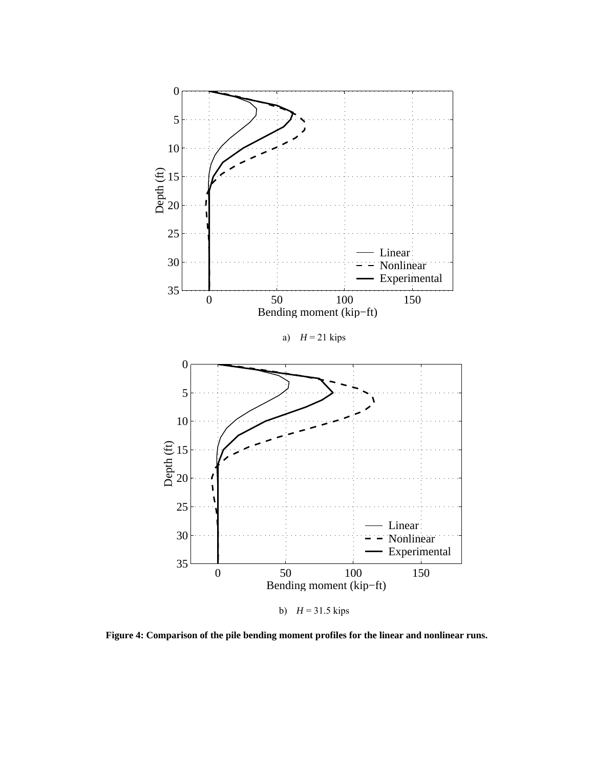

**Figure 4: Comparison of the pile bending moment profiles for the linear and nonlinear runs.**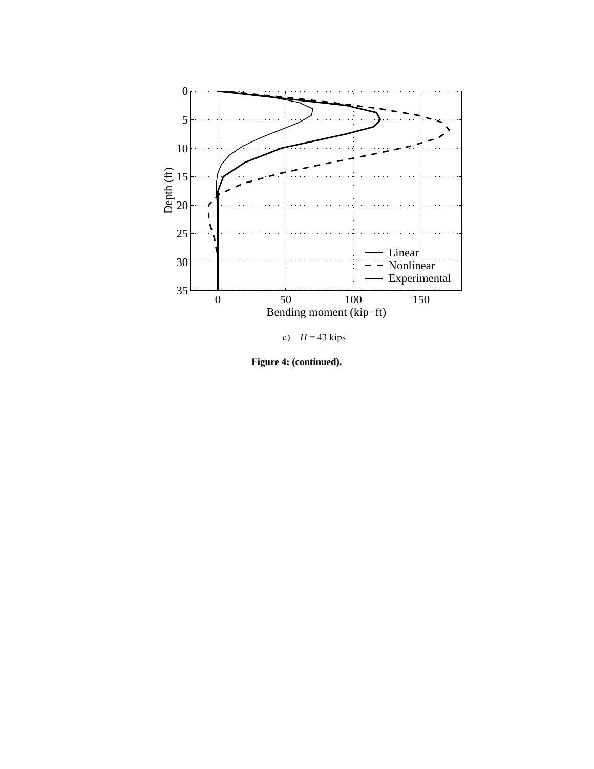

**Figure 4: (continued).**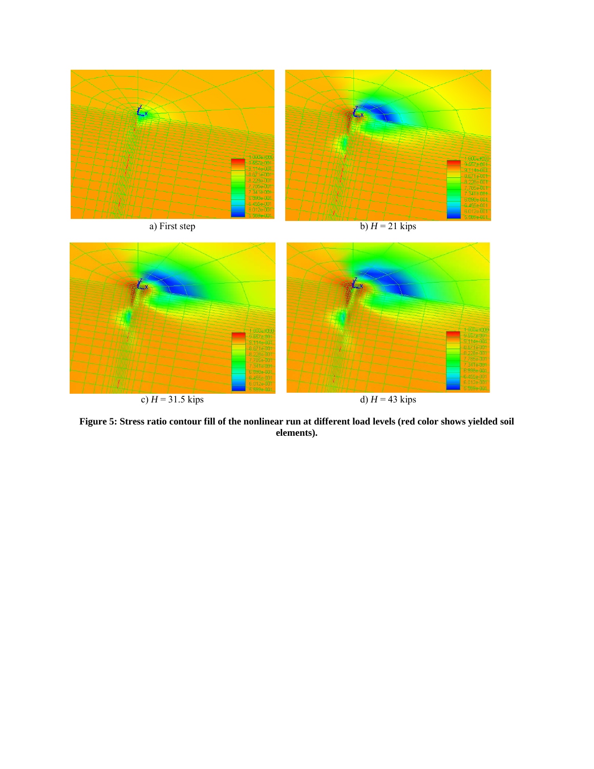

**Figure 5: Stress ratio contour fill of the nonlinear run at different load levels (red color shows yielded soil elements).**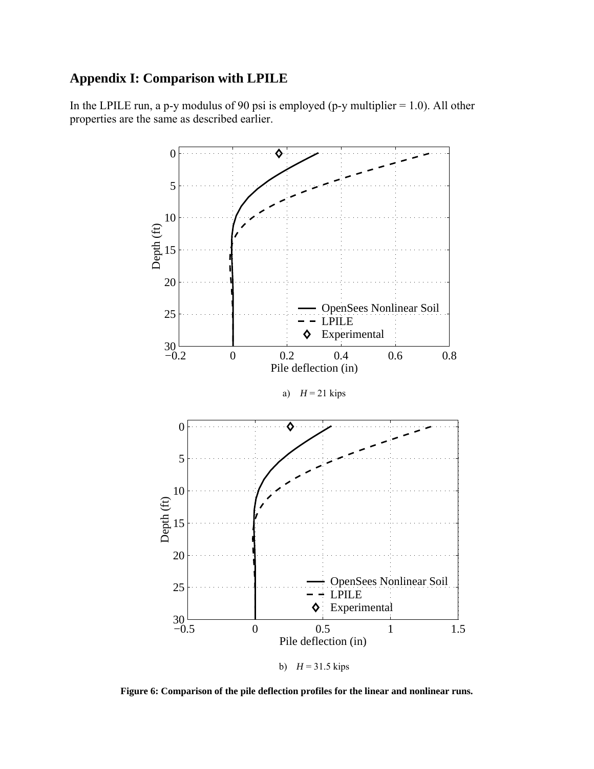# **Appendix I: Comparison with LPILE**

In the LPILE run, a p-y modulus of 90 psi is employed (p-y multiplier  $= 1.0$ ). All other properties are the same as described earlier.



**Figure 6: Comparison of the pile deflection profiles for the linear and nonlinear runs.**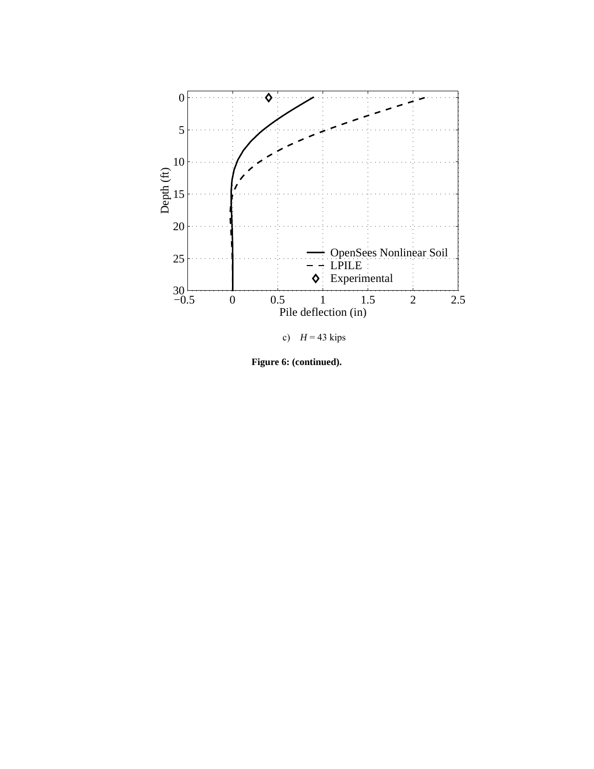

**Figure 6: (continued).**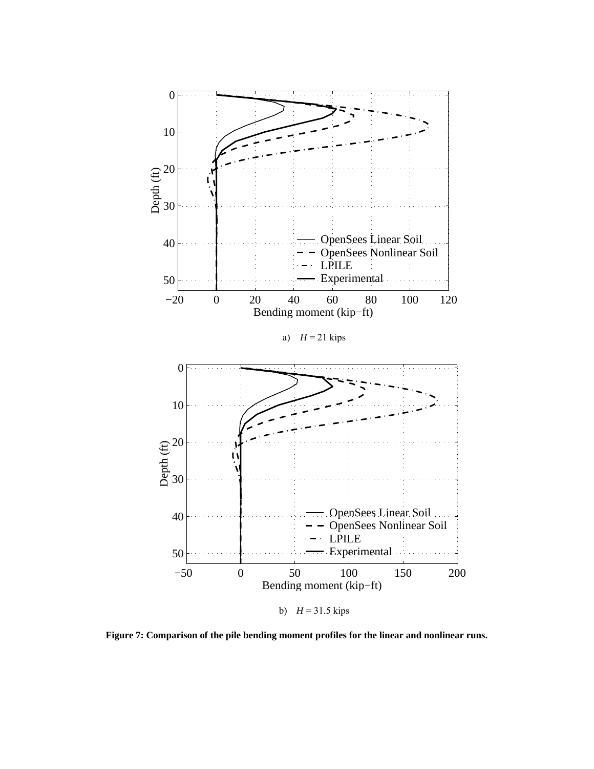

**Figure 7: Comparison of the pile bending moment profiles for the linear and nonlinear runs.**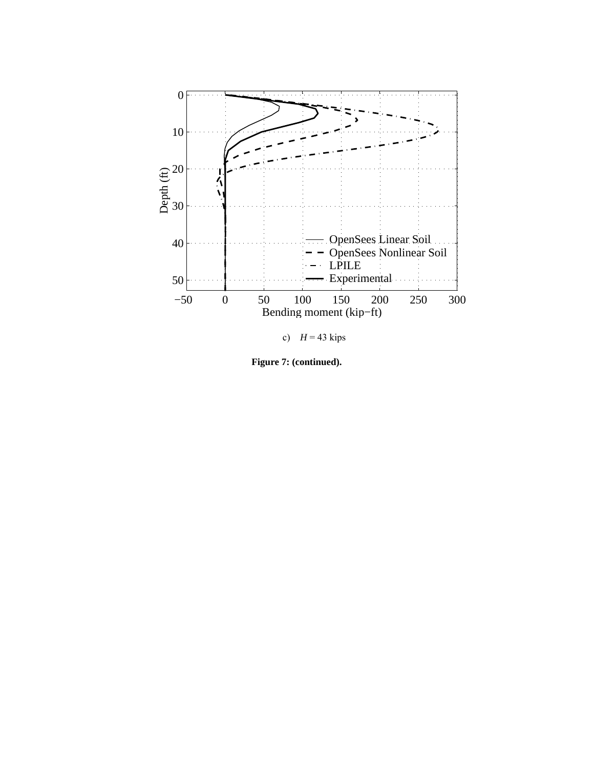

c)  $H = 43$  kips

**Figure 7: (continued).**